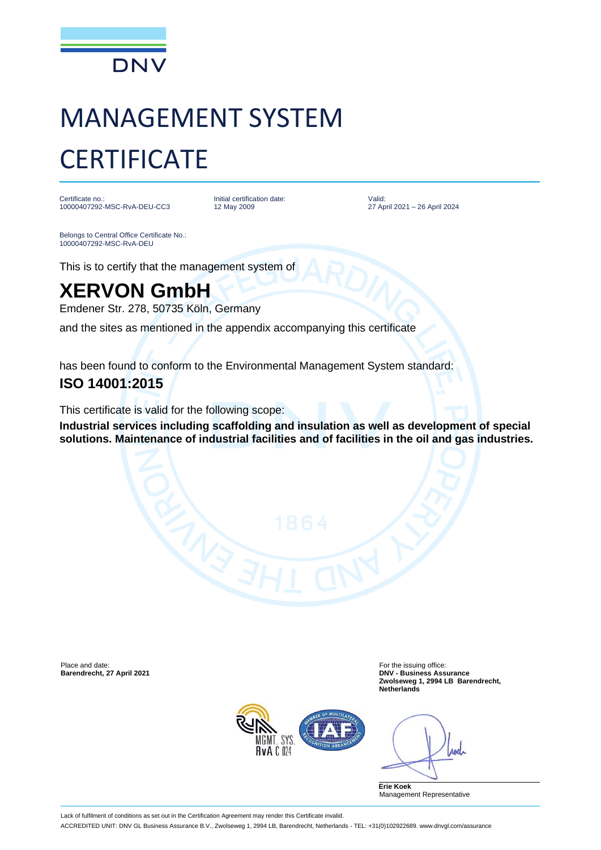

# MANAGEMENT SYSTEM **CERTIFICATE**

Certificate no.: 10000407292-MSC-RvA-DEU-CC3 Initial certification date: 12 May 2009

Valid: 27 April 2021 – 26 April 2024

Belongs to Central Office Certificate No.: 10000407292-MSC-RvA-DEU

This is to certify that the management system of

## **XERVON GmbH**

Emdener Str. 278, 50735 Köln, Germany

and the sites as mentioned in the appendix accompanying this certificate

has been found to conform to the Environmental Management System standard:

#### **ISO 14001:2015**

This certificate is valid for the following scope:

**Industrial services including scaffolding and insulation as well as development of special solutions. Maintenance of industrial facilities and of facilities in the oil and gas industries.**

Place and date: For the issuing office:<br> **Barendrecht, 27 April 2021** Contract Contract Contract Contract Contract Contract Contract Contract Contract Con

**Barendrecht, 27 April 2021 DNV - Business Assurance Zwolseweg 1, 2994 LB Barendrecht, Netherlands**



rod

**Erie Koek** Management Representative

Lack of fulfilment of conditions as set out in the Certification Agreement may render this Certificate invalid.

ACCREDITED UNIT: DNV GL Business Assurance B.V., Zwolseweg 1, 2994 LB, Barendrecht, Netherlands - TEL: +31(0)102922689. www.dnvgl.com/assurance